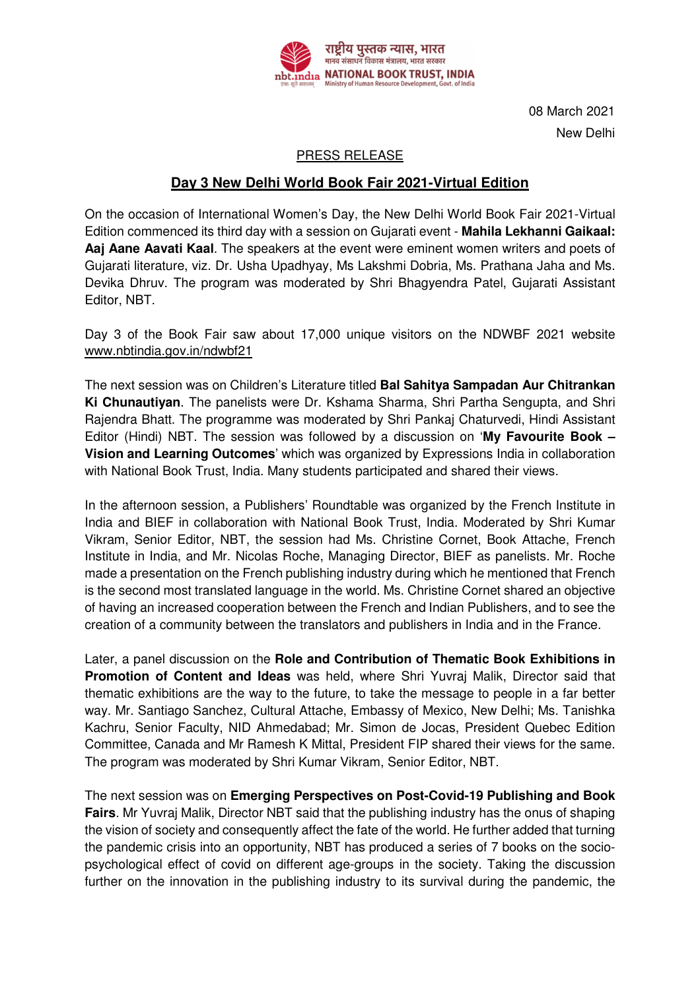

08 March 2021 New Delhi

## PRESS RELEASE

## **Day 3 New Delhi World Book Fair 2021-Virtual Edition**

On the occasion of International Women's Day, the New Delhi World Book Fair 2021-Virtual Edition commenced its third day with a session on Gujarati event - **Mahila Lekhanni Gaikaal: Aaj Aane Aavati Kaal**. The speakers at the event were eminent women writers and poets of Gujarati literature, viz. Dr. Usha Upadhyay, Ms Lakshmi Dobria, Ms. Prathana Jaha and Ms. Devika Dhruv. The program was moderated by Shri Bhagyendra Patel, Gujarati Assistant Editor, NBT.

Day 3 of the Book Fair saw about 17,000 unique visitors on the NDWBF 2021 website www.nbtindia.gov.in/ndwbf21

The next session was on Children's Literature titled **Bal Sahitya Sampadan Aur Chitrankan Ki Chunautiyan**. The panelists were Dr. Kshama Sharma, Shri Partha Sengupta, and Shri Rajendra Bhatt. The programme was moderated by Shri Pankaj Chaturvedi, Hindi Assistant Editor (Hindi) NBT. The session was followed by a discussion on '**My Favourite Book – Vision and Learning Outcomes**' which was organized by Expressions India in collaboration with National Book Trust, India. Many students participated and shared their views.

In the afternoon session, a Publishers' Roundtable was organized by the French Institute in India and BIEF in collaboration with National Book Trust, India. Moderated by Shri Kumar Vikram, Senior Editor, NBT, the session had Ms. Christine Cornet, Book Attache, French Institute in India, and Mr. Nicolas Roche, Managing Director, BIEF as panelists. Mr. Roche made a presentation on the French publishing industry during which he mentioned that French is the second most translated language in the world. Ms. Christine Cornet shared an objective of having an increased cooperation between the French and Indian Publishers, and to see the creation of a community between the translators and publishers in India and in the France.

Later, a panel discussion on the **Role and Contribution of Thematic Book Exhibitions in Promotion of Content and Ideas** was held, where Shri Yuvraj Malik, Director said that thematic exhibitions are the way to the future, to take the message to people in a far better way. Mr. Santiago Sanchez, Cultural Attache, Embassy of Mexico, New Delhi; Ms. Tanishka Kachru, Senior Faculty, NID Ahmedabad; Mr. Simon de Jocas, President Quebec Edition Committee, Canada and Mr Ramesh K Mittal, President FIP shared their views for the same. The program was moderated by Shri Kumar Vikram, Senior Editor, NBT.

The next session was on **Emerging Perspectives on Post-Covid-19 Publishing and Book Fairs**. Mr Yuvraj Malik, Director NBT said that the publishing industry has the onus of shaping the vision of society and consequently affect the fate of the world. He further added that turning the pandemic crisis into an opportunity, NBT has produced a series of 7 books on the sociopsychological effect of covid on different age-groups in the society. Taking the discussion further on the innovation in the publishing industry to its survival during the pandemic, the